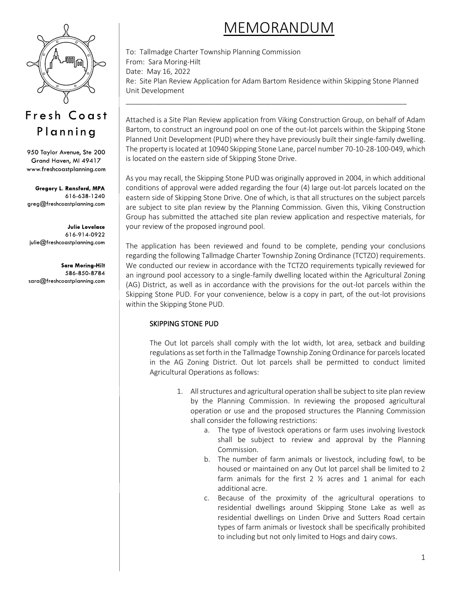# MEMORANDUM



## Fresh Coast Planning

950 Taylor Avenue, Ste 200 Grand Haven, MI 49417 www.freshcoastplanning.com

Gregory L. Ransford, MPA 616-638-1240 greg@freshcoastplanning.com

**Julie Lovelace** 616-914-0922 julie@freshcoastplanning.com

**Sara Moring-Hilt** 586-850-8784 sara@freshcoastplanning.com To: Tallmadge Charter Township Planning Commission From: Sara Moring-Hilt Date: May 16, 2022 Re: Site Plan Review Application for Adam Bartom Residence within Skipping Stone Planned Unit Development

\_\_\_\_\_\_\_\_\_\_\_\_\_\_\_\_\_\_\_\_\_\_\_\_\_\_\_\_\_\_\_\_\_\_\_\_\_\_\_\_\_\_\_\_\_\_\_\_\_\_\_\_\_\_\_\_\_\_\_\_\_\_\_\_\_\_\_\_\_\_\_

Attached is a Site Plan Review application from Viking Construction Group, on behalf of Adam Bartom, to construct an inground pool on one of the out-lot parcels within the Skipping Stone Planned Unit Development (PUD) where they have previously built their single-family dwelling. The property is located at 10940 Skipping Stone Lane, parcel number 70-10-28-100-049, which is located on the eastern side of Skipping Stone Drive.

As you may recall, the Skipping Stone PUD was originally approved in 2004, in which additional conditions of approval were added regarding the four (4) large out-lot parcels located on the eastern side of Skipping Stone Drive. One of which, is that all structures on the subject parcels are subject to site plan review by the Planning Commission. Given this, Viking Construction Group has submitted the attached site plan review application and respective materials, for your review of the proposed inground pool.

The application has been reviewed and found to be complete, pending your conclusions regarding the following Tallmadge Charter Township Zoning Ordinance (TCTZO) requirements. We conducted our review in accordance with the TCTZO requirements typically reviewed for an inground pool accessory to a single-family dwelling located within the Agricultural Zoning (AG) District, as well as in accordance with the provisions for the out-lot parcels within the Skipping Stone PUD. For your convenience, below is a copy in part, of the out-lot provisions within the Skipping Stone PUD.

### SKIPPING STONE PUD

The Out lot parcels shall comply with the lot width, lot area, setback and building regulations as set forth in the Tallmadge Township Zoning Ordinance for parcels located in the AG Zoning District. Out lot parcels shall be permitted to conduct limited Agricultural Operations as follows:

- 1. All structures and agricultural operation shall be subject to site plan review by the Planning Commission. In reviewing the proposed agricultural operation or use and the proposed structures the Planning Commission shall consider the following restrictions:
	- a. The type of livestock operations or farm uses involving livestock shall be subject to review and approval by the Planning Commission.
	- b. The number of farm animals or livestock, including fowl, to be housed or maintained on any Out lot parcel shall be limited to 2 farm animals for the first 2  $\frac{1}{2}$  acres and 1 animal for each additional acre.
	- c. Because of the proximity of the agricultural operations to residential dwellings around Skipping Stone Lake as well as residential dwellings on Linden Drive and Sutters Road certain types of farm animals or livestock shall be specifically prohibited to including but not only limited to Hogs and dairy cows.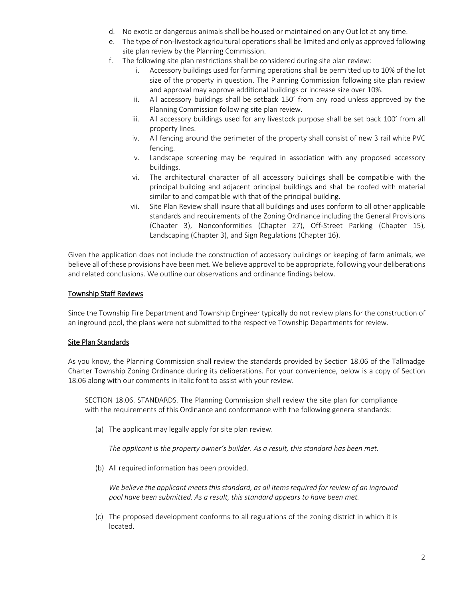- d. No exotic or dangerous animals shall be housed or maintained on any Out lot at any time.
- e. The type of non-livestock agricultural operations shall be limited and only as approved following site plan review by the Planning Commission.
- f. The following site plan restrictions shall be considered during site plan review:
	- i. Accessory buildings used for farming operations shall be permitted up to 10% of the lot size of the property in question. The Planning Commission following site plan review and approval may approve additional buildings or increase size over 10%.
	- ii. All accessory buildings shall be setback 150' from any road unless approved by the Planning Commission following site plan review.
	- iii. All accessory buildings used for any livestock purpose shall be set back 100' from all property lines.
	- iv. All fencing around the perimeter of the property shall consist of new 3 rail white PVC fencing.
	- v. Landscape screening may be required in association with any proposed accessory buildings.
	- vi. The architectural character of all accessory buildings shall be compatible with the principal building and adjacent principal buildings and shall be roofed with material similar to and compatible with that of the principal building.
	- vii. Site Plan Review shall insure that all buildings and uses conform to all other applicable standards and requirements of the Zoning Ordinance including the General Provisions (Chapter 3), Nonconformities (Chapter 27), Off-Street Parking (Chapter 15), Landscaping (Chapter 3), and Sign Regulations (Chapter 16).

Given the application does not include the construction of accessory buildings or keeping of farm animals, we believe all of these provisions have been met. We believe approval to be appropriate, following your deliberations and related conclusions. We outline our observations and ordinance findings below.

#### Township Staff Reviews

Since the Township Fire Department and Township Engineer typically do not review plans for the construction of an inground pool, the plans were not submitted to the respective Township Departments for review.

#### Site Plan Standards

As you know, the Planning Commission shall review the standards provided by Section 18.06 of the Tallmadge Charter Township Zoning Ordinance during its deliberations. For your convenience, below is a copy of Section 18.06 along with our comments in italic font to assist with your review.

SECTION 18.06. STANDARDS. The Planning Commission shall review the site plan for compliance with the requirements of this Ordinance and conformance with the following general standards:

(a) The applicant may legally apply for site plan review.

*The applicant is the property owner's builder. As a result, this standard has been met.*

(b) All required information has been provided.

*We believe the applicant meets this standard, as all items required for review of an inground pool have been submitted. As a result, this standard appears to have been met.*

(c) The proposed development conforms to all regulations of the zoning district in which it is located.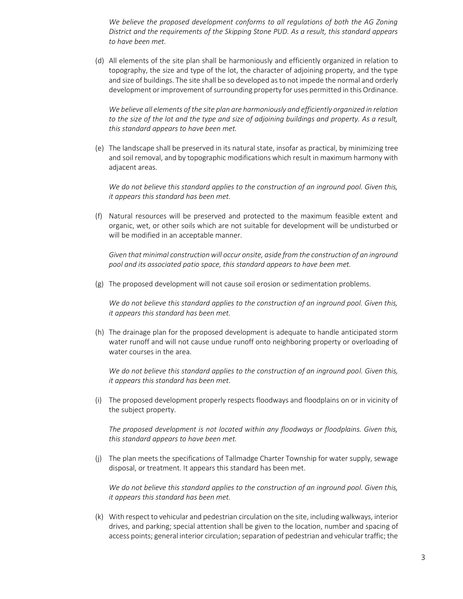We believe the proposed development conforms to all regulations of both the AG Zoning *District and the requirements of the Skipping Stone PUD. As a result, this standard appears to have been met.*

(d) All elements of the site plan shall be harmoniously and efficiently organized in relation to topography, the size and type of the lot, the character of adjoining property, and the type and size of buildings. The site shall be so developed as to not impede the normal and orderly development or improvement of surrounding property for uses permitted in this Ordinance.

*We believe all elements of the site plan are harmoniously and efficiently organized in relation to the size of the lot and the type and size of adjoining buildings and property. As a result, this standard appears to have been met.*

(e) The landscape shall be preserved in its natural state, insofar as practical, by minimizing tree and soil removal, and by topographic modifications which result in maximum harmony with adjacent areas.

*We do not believe this standard applies to the construction of an inground pool. Given this, it appears this standard has been met.*

(f) Natural resources will be preserved and protected to the maximum feasible extent and organic, wet, or other soils which are not suitable for development will be undisturbed or will be modified in an acceptable manner.

*Given that minimal construction will occur onsite, aside from the construction of an inground pool and its associated patio space, this standard appears to have been met.*

(g) The proposed development will not cause soil erosion or sedimentation problems.

*We do not believe this standard applies to the construction of an inground pool. Given this, it appears this standard has been met.*

(h) The drainage plan for the proposed development is adequate to handle anticipated storm water runoff and will not cause undue runoff onto neighboring property or overloading of water courses in the area.

*We do not believe this standard applies to the construction of an inground pool. Given this, it appears this standard has been met.*

(i) The proposed development properly respects floodways and floodplains on or in vicinity of the subject property.

*The proposed development is not located within any floodways or floodplains. Given this, this standard appears to have been met.*

(j) The plan meets the specifications of Tallmadge Charter Township for water supply, sewage disposal, or treatment. It appears this standard has been met.

*We do not believe this standard applies to the construction of an inground pool. Given this, it appears this standard has been met.*

(k) With respect to vehicular and pedestrian circulation on the site, including walkways, interior drives, and parking; special attention shall be given to the location, number and spacing of access points; general interior circulation; separation of pedestrian and vehicular traffic; the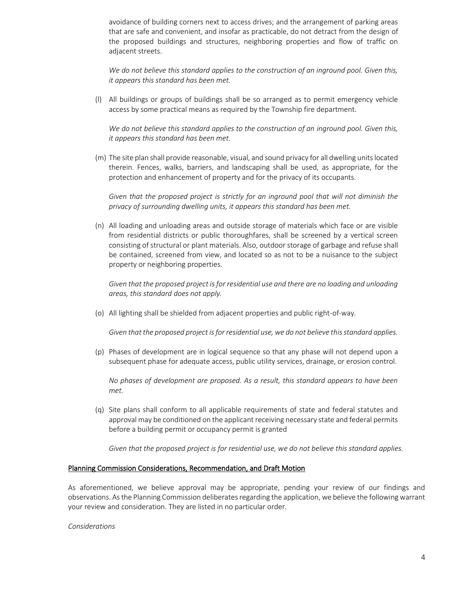avoidance of building corners next to access drives; and the arrangement of parking areas that are safe and convenient, and insofar as practicable, do not detract from the design of the proposed buildings and structures, neighboring properties and flow of traffic on adjacent streets.

*We do not believe this standard applies to the construction of an inground pool. Given this, it appears this standard has been met.*

(l) All buildings or groups of buildings shall be so arranged as to permit emergency vehicle access by some practical means as required by the Township fire department.

*We do not believe this standard applies to the construction of an inground pool. Given this, it appears this standard has been met.*

(m) The site plan shall provide reasonable, visual, and sound privacy for all dwelling units located therein. Fences, walks, barriers, and landscaping shall be used, as appropriate, for the protection and enhancement of property and for the privacy of its occupants.

*Given that the proposed project is strictly for an inground pool that will not diminish the privacy of surrounding dwelling units, it appears this standard has been met.*

(n) All loading and unloading areas and outside storage of materials which face or are visible from residential districts or public thoroughfares, shall be screened by a vertical screen consisting of structural or plant materials. Also, outdoor storage of garbage and refuse shall be contained, screened from view, and located so as not to be a nuisance to the subject property or neighboring properties.

Given that the proposed project is for residential use and there are no loading and unloading *areas, this standard does not apply.*

(o) All lighting shall be shielded from adjacent properties and public right-of-way.

*Given that the proposed project is for residential use, we do not believe this standard applies.*

(p) Phases of development are in logical sequence so that any phase will not depend upon a subsequent phase for adequate access, public utility services, drainage, or erosion control.

*No phases of development are proposed. As a result, this standard appears to have been met.*

(q) Site plans shall conform to all applicable requirements of state and federal statutes and approval may be conditioned on the applicant receiving necessary state and federal permits before a building permit or occupancy permit is granted

*Given that the proposed project is for residential use, we do not believe this standard applies.*

#### Planning Commission Considerations, Recommendation, and Draft Motion

As aforementioned, we believe approval may be appropriate, pending your review of our findings and observations. As the Planning Commission deliberates regarding the application, we believe the following warrant your review and consideration. They are listed in no particular order.

*Considerations*